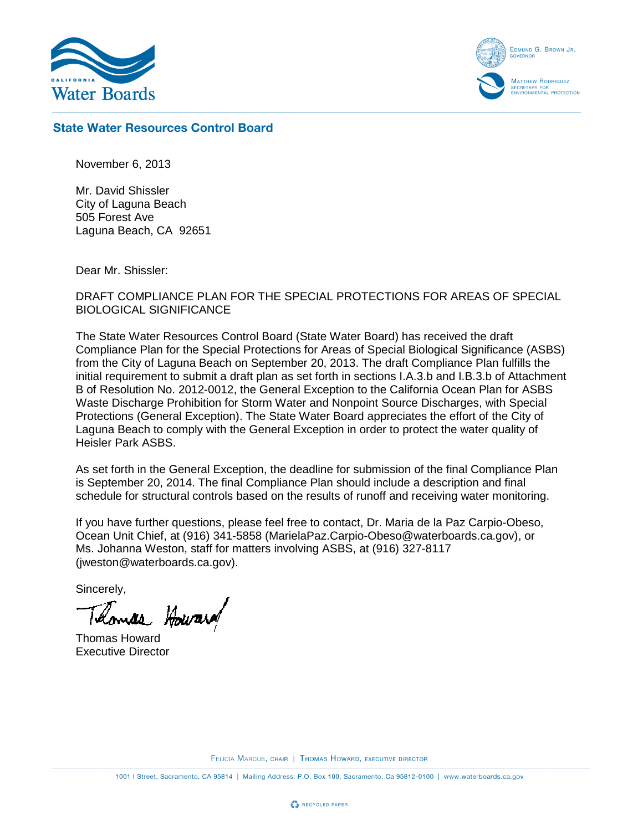

EDMUND G. BROWN JR. MATTHEW RODRIQUEZ ECRETARY FOR<br>NVIRONMENTAL PROTECTION

## **State Water Resources Control Board**

November 6, 2013

Mr. David Shissler City of Laguna Beach 505 Forest Ave Laguna Beach, CA 92651

Dear Mr. Shissler:

## DRAFT COMPLIANCE PLAN FOR THE SPECIAL PROTECTIONS FOR AREAS OF SPECIAL BIOLOGICAL SIGNIFICANCE

The State Water Resources Control Board (State Water Board) has received the draft Compliance Plan for the Special Protections for Areas of Special Biological Significance (ASBS) from the City of Laguna Beach on September 20, 2013. The draft Compliance Plan fulfills the initial requirement to submit a draft plan as set forth in sections I.A.3.b and I.B.3.b of Attachment B of Resolution No. 2012-0012, the General Exception to the California Ocean Plan for ASBS Waste Discharge Prohibition for Storm Water and Nonpoint Source Discharges, with Special Protections (General Exception). The State Water Board appreciates the effort of the City of Laguna Beach to comply with the General Exception in order to protect the water quality of Heisler Park ASBS.

As set forth in the General Exception, the deadline for submission of the final Compliance Plan is September 20, 2014. The final Compliance Plan should include a description and final schedule for structural controls based on the results of runoff and receiving water monitoring.

If you have further questions, please feel free to contact, Dr. Maria de la Paz Carpio-Obeso, Ocean Unit Chief, at (916) 341-5858 (MarielaPaz.Carpio-Obeso@waterboards.ca.gov), or Ms. Johanna Weston, staff for matters involving ASBS, at (916) 327-8117 (jweston@waterboards.ca.gov).

Sincerely,

mas Howard

Thomas Howard Executive Director

FELICIA MARCUS, CHAIR | THOMAS HOWARD, EXECUTIVE DIRECTOR